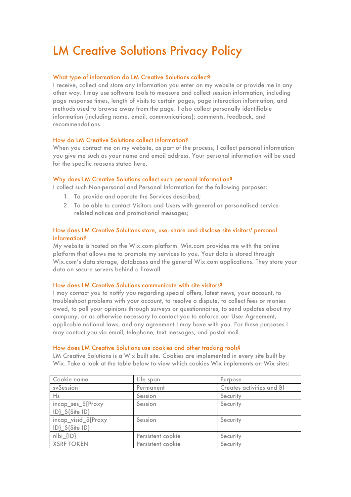# LM Creative Solutions Privacy Policy

# What type of information do LM Creative Solutions collect?

I receive, collect and store any information you enter on my website or provide me in any other way. I may use software tools to measure and collect session information, including page response times, length of visits to certain pages, page interaction information, and methods used to browse away from the page. I also collect personally identifiable information (including name, email, communications); comments, feedback, and recommendations.

# How do LM Creative Solutions collect information?

When you contact me on my website, as part of the process, I collect personal information you give me such as your name and email address. Your personal information will be used for the specific reasons stated here.

#### Why does LM Creative Solutions collect such personal information?

I collect such Non-personal and Personal Information for the following purposes:

- 1. To provide and operate the Services described;
- 2. To be able to contact Visitors and Users with general or personalised servicerelated notices and promotional messages;

# How does LM Creative Solutions store, use, share and disclose site visitors' personal information?

My website is hosted on the Wix.com platform. Wix.com provides me with the online platform that allows me to promote my services to you. Your data is stored through Wix.com's data storage, databases and the general Wix.com applications. They store your data on secure servers behind a firewall.

#### How does LM Creative Solutions communicate with site visitors?

I may contact you to notify you regarding special offers, latest news, your account, to troubleshoot problems with your account, to resolve a dispute, to collect fees or monies owed, to poll your opinions through surveys or questionnaires, to send updates about my company, or as otherwise necessary to contact you to enforce our User Agreement, applicable national laws, and any agreement I may have with you. For these purposes I may contact you via email, telephone, text messages, and postal mail.

#### How does LM Creative Solutions use cookies and other tracking tools?

LM Creative Solutions is a Wix built site. Cookies are implemented in every site built by Wix. Take a look at the table below to view which cookies Wix implements on Wix sites:

| Cookie name                                                                                                                                                              | Life span         | Purpose                   |
|--------------------------------------------------------------------------------------------------------------------------------------------------------------------------|-------------------|---------------------------|
| sySession                                                                                                                                                                | Permanent         | Creates activities and BI |
| Hs                                                                                                                                                                       | Session           | Security                  |
| incap_ses_\${Proxy<br>ID}_\${Site ID}                                                                                                                                    | Session           | Security                  |
| incap_visid_\${Proxy<br>$ID$ $\frac{1}{2}$ $\frac{1}{2}$ $\frac{1}{2}$ $\frac{1}{2}$ $\frac{1}{2}$ $\frac{1}{2}$ $\frac{1}{2}$ $\frac{1}{2}$ $\frac{1}{2}$ $\frac{1}{2}$ | Session           | Security                  |
| nlbi_{ID}                                                                                                                                                                | Persistent cookie | Security                  |
| <b>XSRF TOKEN</b>                                                                                                                                                        | Persistent cookie | Security                  |